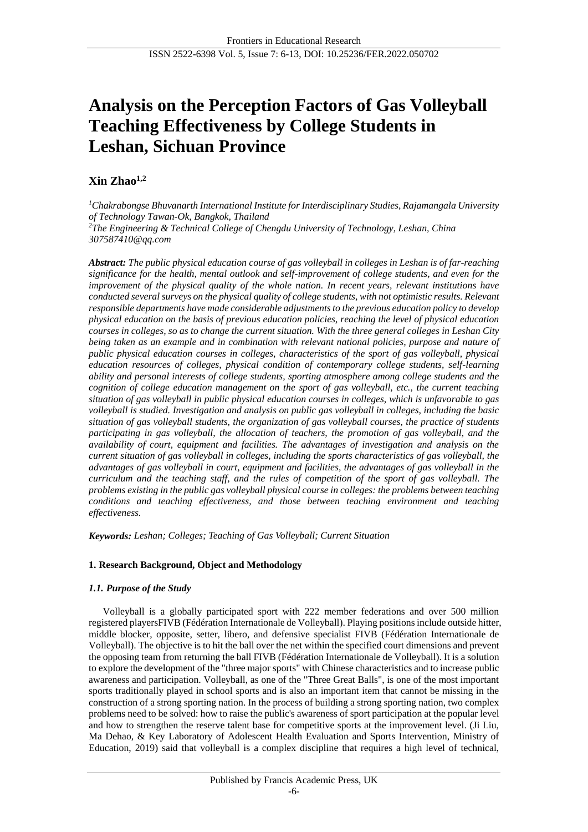# **Analysis on the Perception Factors of Gas Volleyball Teaching Effectiveness by College Students in Leshan, Sichuan Province**

# **Xin Zhao1,2**

*<sup>1</sup>Chakrabongse Bhuvanarth International Institute for Interdisciplinary Studies, Rajamangala University of Technology Tawan-Ok, Bangkok, Thailand <sup>2</sup>The Engineering & Technical College of Chengdu University of Technology, Leshan, China 307587410@qq.com*

*Abstract: The public physical education course of gas volleyball in colleges in Leshan is of far-reaching significance for the health, mental outlook and self-improvement of college students, and even for the improvement of the physical quality of the whole nation. In recent years, relevant institutions have conducted several surveys on the physical quality of college students, with not optimistic results. Relevant responsible departments have made considerable adjustments to the previous education policy to develop physical education on the basis of previous education policies, reaching the level of physical education courses in colleges, so as to change the current situation. With the three general colleges in Leshan City being taken as an example and in combination with relevant national policies, purpose and nature of public physical education courses in colleges, characteristics of the sport of gas volleyball, physical education resources of colleges, physical condition of contemporary college students, self-learning ability and personal interests of college students, sporting atmosphere among college students and the cognition of college education management on the sport of gas volleyball, etc., the current teaching situation of gas volleyball in public physical education courses in colleges, which is unfavorable to gas volleyball is studied. Investigation and analysis on public gas volleyball in colleges, including the basic situation of gas volleyball students, the organization of gas volleyball courses, the practice of students participating in gas volleyball, the allocation of teachers, the promotion of gas volleyball, and the availability of court, equipment and facilities. The advantages of investigation and analysis on the current situation of gas volleyball in colleges, including the sports characteristics of gas volleyball, the advantages of gas volleyball in court, equipment and facilities, the advantages of gas volleyball in the curriculum and the teaching staff, and the rules of competition of the sport of gas volleyball. The problems existing in the public gas volleyball physical course in colleges: the problems between teaching conditions and teaching effectiveness, and those between teaching environment and teaching effectiveness.*

*Keywords: Leshan; Colleges; Teaching of Gas Volleyball; Current Situation*

# **1. Research Background, Object and Methodology**

# *1.1. Purpose of the Study*

Volleyball is a globally participated sport with 222 member federations and over 500 million registered playersFIVB (Fédération Internationale de Volleyball). Playing positions include outside hitter, middle blocker, opposite, setter, libero, and defensive specialist FIVB (Fédération Internationale de Volleyball). The objective is to hit the ball over the net within the specified court dimensions and prevent the opposing team from returning the ball FIVB (Fédération Internationale de Volleyball). It is a solution to explore the development of the "three major sports" with Chinese characteristics and to increase public awareness and participation. Volleyball, as one of the "Three Great Balls", is one of the most important sports traditionally played in school sports and is also an important item that cannot be missing in the construction of a strong sporting nation. In the process of building a strong sporting nation, two complex problems need to be solved: how to raise the public's awareness of sport participation at the popular level and how to strengthen the reserve talent base for competitive sports at the improvement level. (Ji Liu, Ma Dehao, & Key Laboratory of Adolescent Health Evaluation and Sports Intervention, Ministry of Education, 2019) said that volleyball is a complex discipline that requires a high level of technical,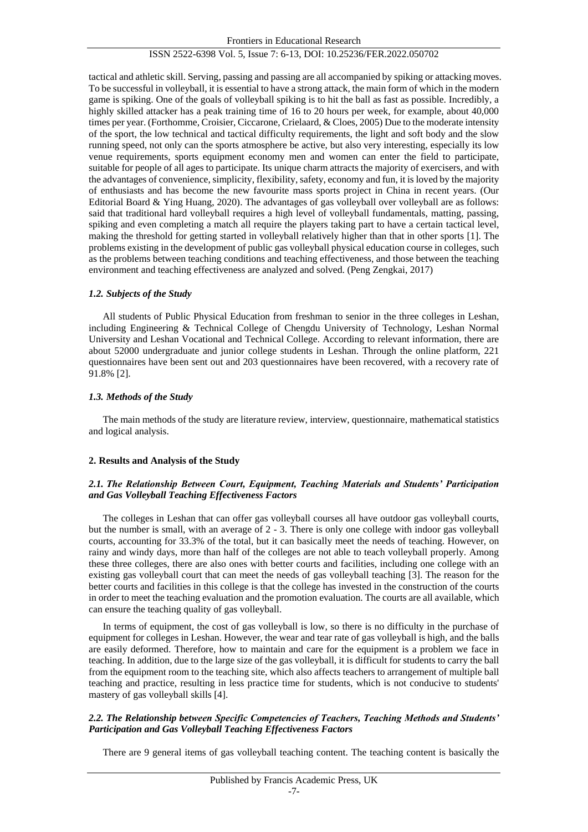tactical and athletic skill. Serving, passing and passing are all accompanied by spiking or attacking moves. To be successful in volleyball, it is essential to have a strong attack, the main form of which in the modern game is spiking. One of the goals of volleyball spiking is to hit the ball as fast as possible. Incredibly, a highly skilled attacker has a peak training time of 16 to 20 hours per week, for example, about 40,000 times per year. (Forthomme, Croisier, Ciccarone, Crielaard, & Cloes, 2005) Due to the moderate intensity of the sport, the low technical and tactical difficulty requirements, the light and soft body and the slow running speed, not only can the sports atmosphere be active, but also very interesting, especially its low venue requirements, sports equipment economy men and women can enter the field to participate, suitable for people of all ages to participate. Its unique charm attracts the majority of exercisers, and with the advantages of convenience, simplicity, flexibility, safety, economy and fun, it is loved by the majority of enthusiasts and has become the new favourite mass sports project in China in recent years. (Our Editorial Board & Ying Huang, 2020). The advantages of gas volleyball over volleyball are as follows: said that traditional hard volleyball requires a high level of volleyball fundamentals, matting, passing, spiking and even completing a match all require the players taking part to have a certain tactical level, making the threshold for getting started in volleyball relatively higher than that in other sports [1]. The problems existing in the development of public gas volleyball physical education course in colleges, such as the problems between teaching conditions and teaching effectiveness, and those between the teaching environment and teaching effectiveness are analyzed and solved. (Peng Zengkai, 2017)

#### *1.2. Subjects of the Study*

All students of Public Physical Education from freshman to senior in the three colleges in Leshan, including Engineering & Technical College of Chengdu University of Technology, Leshan Normal University and Leshan Vocational and Technical College. According to relevant information, there are about 52000 undergraduate and junior college students in Leshan. Through the online platform, 221 questionnaires have been sent out and 203 questionnaires have been recovered, with a recovery rate of 91.8% [2].

# *1.3. Methods of the Study*

The main methods of the study are literature review, interview, questionnaire, mathematical statistics and logical analysis.

#### **2. Results and Analysis of the Study**

# *2.1. The Relationship Between Court, Equipment, Teaching Materials and Students' Participation and Gas Volleyball Teaching Effectiveness Factors*

The colleges in Leshan that can offer gas volleyball courses all have outdoor gas volleyball courts, but the number is small, with an average of 2 - 3. There is only one college with indoor gas volleyball courts, accounting for 33.3% of the total, but it can basically meet the needs of teaching. However, on rainy and windy days, more than half of the colleges are not able to teach volleyball properly. Among these three colleges, there are also ones with better courts and facilities, including one college with an existing gas volleyball court that can meet the needs of gas volleyball teaching [3]. The reason for the better courts and facilities in this college is that the college has invested in the construction of the courts in order to meet the teaching evaluation and the promotion evaluation. The courts are all available, which can ensure the teaching quality of gas volleyball.

In terms of equipment, the cost of gas volleyball is low, so there is no difficulty in the purchase of equipment for colleges in Leshan. However, the wear and tear rate of gas volleyball is high, and the balls are easily deformed. Therefore, how to maintain and care for the equipment is a problem we face in teaching. In addition, due to the large size of the gas volleyball, it is difficult for students to carry the ball from the equipment room to the teaching site, which also affects teachers to arrangement of multiple ball teaching and practice, resulting in less practice time for students, which is not conducive to students' mastery of gas volleyball skills [4].

#### *2.2. The Relationship between Specific Competencies of Teachers, Teaching Methods and Students' Participation and Gas Volleyball Teaching Effectiveness Factors*

There are 9 general items of gas volleyball teaching content. The teaching content is basically the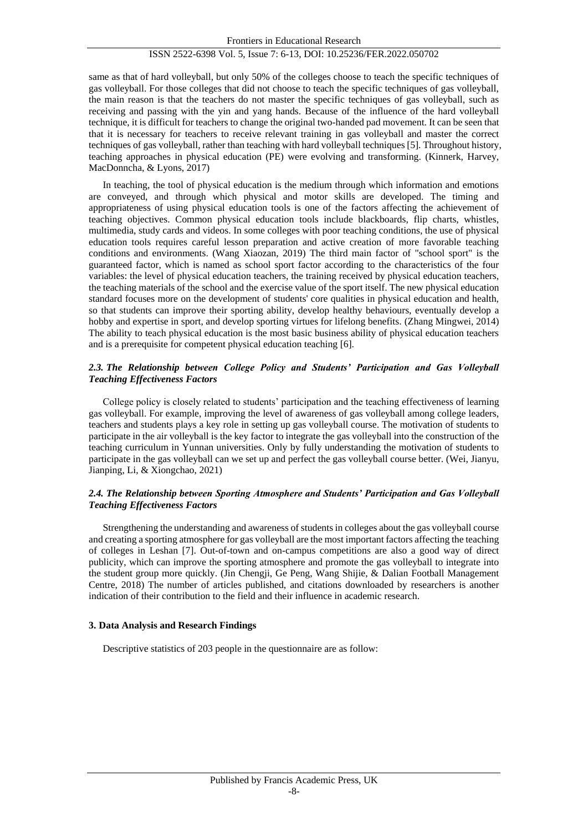same as that of hard volleyball, but only 50% of the colleges choose to teach the specific techniques of gas volleyball. For those colleges that did not choose to teach the specific techniques of gas volleyball, the main reason is that the teachers do not master the specific techniques of gas volleyball, such as receiving and passing with the yin and yang hands. Because of the influence of the hard volleyball technique, it is difficult for teachers to change the original two-handed pad movement. It can be seen that that it is necessary for teachers to receive relevant training in gas volleyball and master the correct techniques of gas volleyball, rather than teaching with hard volleyball techniques [5]. Throughout history, teaching approaches in physical education (PE) were evolving and transforming. (Kinnerk, Harvey, MacDonncha, & Lyons, 2017)

In teaching, the tool of physical education is the medium through which information and emotions are conveyed, and through which physical and motor skills are developed. The timing and appropriateness of using physical education tools is one of the factors affecting the achievement of teaching objectives. Common physical education tools include blackboards, flip charts, whistles, multimedia, study cards and videos. In some colleges with poor teaching conditions, the use of physical education tools requires careful lesson preparation and active creation of more favorable teaching conditions and environments. (Wang Xiaozan, 2019) The third main factor of "school sport" is the guaranteed factor, which is named as school sport factor according to the characteristics of the four variables: the level of physical education teachers, the training received by physical education teachers, the teaching materials of the school and the exercise value of the sport itself. The new physical education standard focuses more on the development of students' core qualities in physical education and health, so that students can improve their sporting ability, develop healthy behaviours, eventually develop a hobby and expertise in sport, and develop sporting virtues for lifelong benefits. (Zhang Mingwei, 2014) The ability to teach physical education is the most basic business ability of physical education teachers and is a prerequisite for competent physical education teaching [6].

# *2.3. The Relationship between College Policy and Students' Participation and Gas Volleyball Teaching Effectiveness Factors*

College policy is closely related to students' participation and the teaching effectiveness of learning gas volleyball. For example, improving the level of awareness of gas volleyball among college leaders, teachers and students plays a key role in setting up gas volleyball course. The motivation of students to participate in the air volleyball is the key factor to integrate the gas volleyball into the construction of the teaching curriculum in Yunnan universities. Only by fully understanding the motivation of students to participate in the gas volleyball can we set up and perfect the gas volleyball course better. (Wei, Jianyu, Jianping, Li, & Xiongchao, 2021)

#### *2.4. The Relationship between Sporting Atmosphere and Students' Participation and Gas Volleyball Teaching Effectiveness Factors*

Strengthening the understanding and awareness of students in colleges about the gas volleyball course and creating a sporting atmosphere for gas volleyball are the most important factors affecting the teaching of colleges in Leshan [7]. Out-of-town and on-campus competitions are also a good way of direct publicity, which can improve the sporting atmosphere and promote the gas volleyball to integrate into the student group more quickly. (Jin Chengji, Ge Peng, Wang Shijie, & Dalian Football Management Centre, 2018) The number of articles published, and citations downloaded by researchers is another indication of their contribution to the field and their influence in academic research.

#### **3. Data Analysis and Research Findings**

Descriptive statistics of 203 people in the questionnaire are as follow: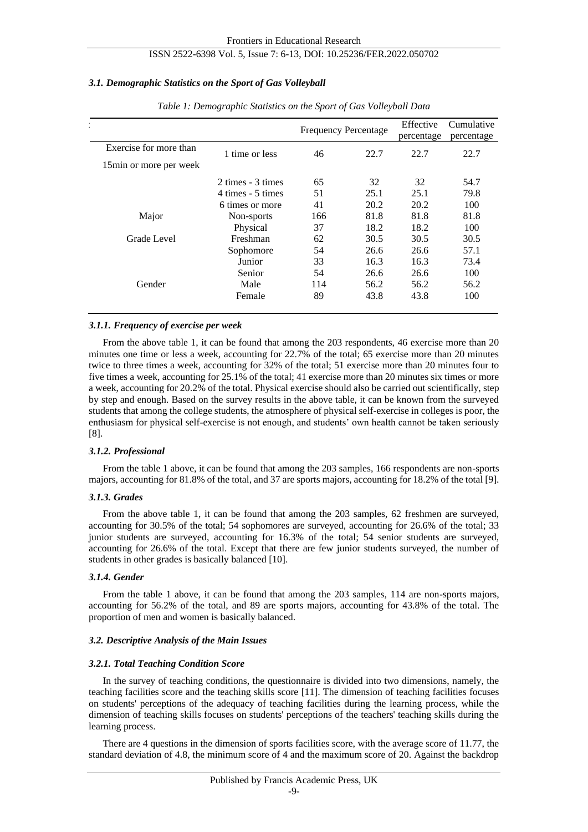# *3.1. Demographic Statistics on the Sport of Gas Volleyball*

|                         |                   | <b>Frequency Percentage</b> |      | Effective<br>percentage | Cumulative<br>percentage |
|-------------------------|-------------------|-----------------------------|------|-------------------------|--------------------------|
| Exercise for more than  | 1 time or less    | 46                          | 22.7 | 22.7                    | 22.7                     |
| 15 min or more per week |                   |                             |      |                         |                          |
|                         | 2 times - 3 times | 65                          | 32   | 32                      | 54.7                     |
|                         | 4 times - 5 times | 51                          | 25.1 | 25.1                    | 79.8                     |
|                         | 6 times or more   | 41                          | 20.2 | 20.2                    | 100                      |
| Major                   | Non-sports        | 166                         | 81.8 | 81.8                    | 81.8                     |
|                         | Physical          | 37                          | 18.2 | 18.2                    | 100                      |
| Grade Level             | Freshman          | 62                          | 30.5 | 30.5                    | 30.5                     |
|                         | Sophomore         | 54                          | 26.6 | 26.6                    | 57.1                     |
|                         | Junior            | 33                          | 16.3 | 16.3                    | 73.4                     |
|                         | Senior            | 54                          | 26.6 | 26.6                    | 100                      |
| Gender                  | Male              | 114                         | 56.2 | 56.2                    | 56.2                     |
|                         | Female            | 89                          | 43.8 | 43.8                    | 100                      |

*Table 1: Demographic Statistics on the Sport of Gas Volleyball Data*

# *3.1.1. Frequency of exercise per week*

From the above table 1, it can be found that among the 203 respondents, 46 exercise more than 20 minutes one time or less a week, accounting for 22.7% of the total; 65 exercise more than 20 minutes twice to three times a week, accounting for 32% of the total; 51 exercise more than 20 minutes four to five times a week, accounting for 25.1% of the total; 41 exercise more than 20 minutes six times or more a week, accounting for 20.2% of the total. Physical exercise should also be carried out scientifically, step by step and enough. Based on the survey results in the above table, it can be known from the surveyed students that among the college students, the atmosphere of physical self-exercise in colleges is poor, the enthusiasm for physical self-exercise is not enough, and students' own health cannot be taken seriously [8].

#### *3.1.2. Professional*

From the table 1 above, it can be found that among the 203 samples, 166 respondents are non-sports majors, accounting for 81.8% of the total, and 37 are sports majors, accounting for 18.2% of the total [9].

#### *3.1.3. Grades*

From the above table 1, it can be found that among the 203 samples, 62 freshmen are surveyed, accounting for 30.5% of the total; 54 sophomores are surveyed, accounting for 26.6% of the total; 33 junior students are surveyed, accounting for 16.3% of the total; 54 senior students are surveyed, accounting for 26.6% of the total. Except that there are few junior students surveyed, the number of students in other grades is basically balanced [10].

#### *3.1.4. Gender*

From the table 1 above, it can be found that among the 203 samples, 114 are non-sports majors, accounting for 56.2% of the total, and 89 are sports majors, accounting for 43.8% of the total. The proportion of men and women is basically balanced.

#### *3.2. Descriptive Analysis of the Main Issues*

#### *3.2.1. Total Teaching Condition Score*

In the survey of teaching conditions, the questionnaire is divided into two dimensions, namely, the teaching facilities score and the teaching skills score [11]. The dimension of teaching facilities focuses on students' perceptions of the adequacy of teaching facilities during the learning process, while the dimension of teaching skills focuses on students' perceptions of the teachers' teaching skills during the learning process.

There are 4 questions in the dimension of sports facilities score, with the average score of 11.77, the standard deviation of 4.8, the minimum score of 4 and the maximum score of 20. Against the backdrop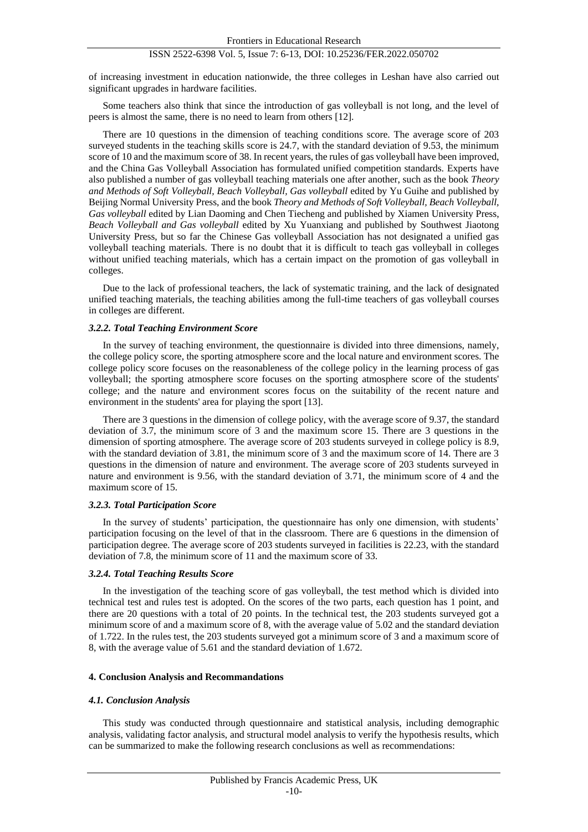of increasing investment in education nationwide, the three colleges in Leshan have also carried out significant upgrades in hardware facilities.

Some teachers also think that since the introduction of gas volleyball is not long, and the level of peers is almost the same, there is no need to learn from others [12].

There are 10 questions in the dimension of teaching conditions score. The average score of 203 surveyed students in the teaching skills score is 24.7, with the standard deviation of 9.53, the minimum score of 10 and the maximum score of 38. In recent years, the rules of gas volleyball have been improved, and the China Gas Volleyball Association has formulated unified competition standards. Experts have also published a number of gas volleyball teaching materials one after another, such as the book *Theory and Methods of Soft Volleyball, Beach Volleyball, Gas volleyball* edited by Yu Guihe and published by Beijing Normal University Press, and the book *Theory and Methods of Soft Volleyball, Beach Volleyball, Gas volleyball* edited by Lian Daoming and Chen Tiecheng and published by Xiamen University Press, *Beach Volleyball and Gas volleyball* edited by Xu Yuanxiang and published by Southwest Jiaotong University Press, but so far the Chinese Gas volleyball Association has not designated a unified gas volleyball teaching materials. There is no doubt that it is difficult to teach gas volleyball in colleges without unified teaching materials, which has a certain impact on the promotion of gas volleyball in colleges.

Due to the lack of professional teachers, the lack of systematic training, and the lack of designated unified teaching materials, the teaching abilities among the full-time teachers of gas volleyball courses in colleges are different.

#### *3.2.2. Total Teaching Environment Score*

In the survey of teaching environment, the questionnaire is divided into three dimensions, namely, the college policy score, the sporting atmosphere score and the local nature and environment scores. The college policy score focuses on the reasonableness of the college policy in the learning process of gas volleyball; the sporting atmosphere score focuses on the sporting atmosphere score of the students' college; and the nature and environment scores focus on the suitability of the recent nature and environment in the students' area for playing the sport [13].

There are 3 questions in the dimension of college policy, with the average score of 9.37, the standard deviation of 3.7, the minimum score of 3 and the maximum score 15. There are 3 questions in the dimension of sporting atmosphere. The average score of 203 students surveyed in college policy is 8.9, with the standard deviation of 3.81, the minimum score of 3 and the maximum score of 14. There are 3 questions in the dimension of nature and environment. The average score of 203 students surveyed in nature and environment is 9.56, with the standard deviation of 3.71, the minimum score of 4 and the maximum score of 15.

#### *3.2.3. Total Participation Score*

In the survey of students' participation, the questionnaire has only one dimension, with students' participation focusing on the level of that in the classroom. There are 6 questions in the dimension of participation degree. The average score of 203 students surveyed in facilities is 22.23, with the standard deviation of 7.8, the minimum score of 11 and the maximum score of 33.

#### *3.2.4. Total Teaching Results Score*

In the investigation of the teaching score of gas volleyball, the test method which is divided into technical test and rules test is adopted. On the scores of the two parts, each question has 1 point, and there are 20 questions with a total of 20 points. In the technical test, the 203 students surveyed got a minimum score of and a maximum score of 8, with the average value of 5.02 and the standard deviation of 1.722. In the rules test, the 203 students surveyed got a minimum score of 3 and a maximum score of 8, with the average value of 5.61 and the standard deviation of 1.672.

#### **4. Conclusion Analysis and Recommandations**

#### *4.1. Conclusion Analysis*

This study was conducted through questionnaire and statistical analysis, including demographic analysis, validating factor analysis, and structural model analysis to verify the hypothesis results, which can be summarized to make the following research conclusions as well as recommendations: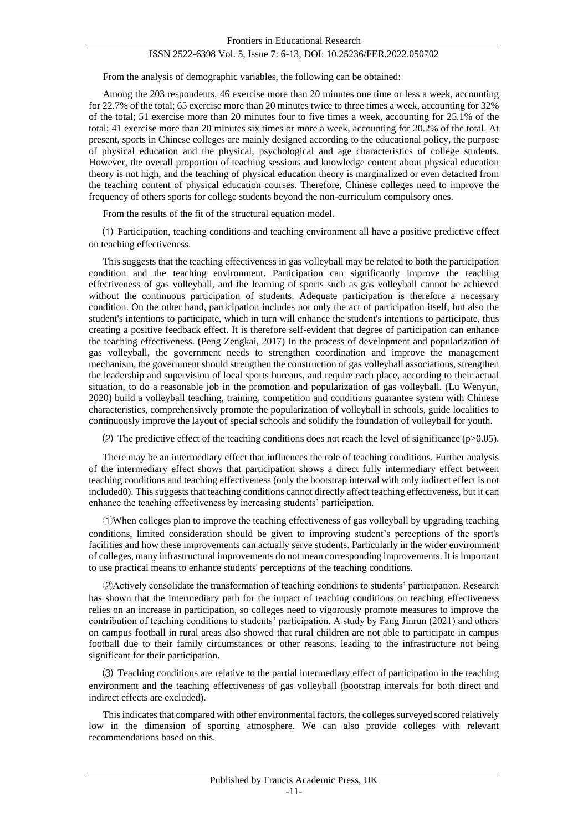From the analysis of demographic variables, the following can be obtained:

Among the 203 respondents, 46 exercise more than 20 minutes one time or less a week, accounting for 22.7% of the total; 65 exercise more than 20 minutes twice to three times a week, accounting for 32% of the total; 51 exercise more than 20 minutes four to five times a week, accounting for 25.1% of the total; 41 exercise more than 20 minutes six times or more a week, accounting for 20.2% of the total. At present, sports in Chinese colleges are mainly designed according to the educational policy, the purpose of physical education and the physical, psychological and age characteristics of college students. However, the overall proportion of teaching sessions and knowledge content about physical education theory is not high, and the teaching of physical education theory is marginalized or even detached from the teaching content of physical education courses. Therefore, Chinese colleges need to improve the frequency of others sports for college students beyond the non-curriculum compulsory ones.

From the results of the fit of the structural equation model.

⑴ Participation, teaching conditions and teaching environment all have a positive predictive effect on teaching effectiveness.

This suggests that the teaching effectiveness in gas volleyball may be related to both the participation condition and the teaching environment. Participation can significantly improve the teaching effectiveness of gas volleyball, and the learning of sports such as gas volleyball cannot be achieved without the continuous participation of students. Adequate participation is therefore a necessary condition. On the other hand, participation includes not only the act of participation itself, but also the student's intentions to participate, which in turn will enhance the student's intentions to participate, thus creating a positive feedback effect. It is therefore self-evident that degree of participation can enhance the teaching effectiveness. (Peng Zengkai, 2017) In the process of development and popularization of gas volleyball, the government needs to strengthen coordination and improve the management mechanism, the government should strengthen the construction of gas volleyball associations, strengthen the leadership and supervision of local sports bureaus, and require each place, according to their actual situation, to do a reasonable job in the promotion and popularization of gas volleyball. (Lu Wenyun, 2020) build a volleyball teaching, training, competition and conditions guarantee system with Chinese characteristics, comprehensively promote the popularization of volleyball in schools, guide localities to continuously improve the layout of special schools and solidify the foundation of volleyball for youth.

(2) The predictive effect of the teaching conditions does not reach the level of significance (p $>0.05$ ).

There may be an intermediary effect that influences the role of teaching conditions. Further analysis of the intermediary effect shows that participation shows a direct fully intermediary effect between teaching conditions and teaching effectiveness (only the bootstrap interval with only indirect effect is not included0). This suggests that teaching conditions cannot directly affect teaching effectiveness, but it can enhance the teaching effectiveness by increasing students' participation.

①When colleges plan to improve the teaching effectiveness of gas volleyball by upgrading teaching conditions, limited consideration should be given to improving student's perceptions of the sport's facilities and how these improvements can actually serve students. Particularly in the wider environment of colleges, many infrastructural improvements do not mean corresponding improvements. It is important to use practical means to enhance students' perceptions of the teaching conditions.

②Actively consolidate the transformation of teaching conditions to students' participation. Research has shown that the intermediary path for the impact of teaching conditions on teaching effectiveness relies on an increase in participation, so colleges need to vigorously promote measures to improve the contribution of teaching conditions to students' participation. A study by Fang Jinrun (2021) and others on campus football in rural areas also showed that rural children are not able to participate in campus football due to their family circumstances or other reasons, leading to the infrastructure not being significant for their participation.

⑶ Teaching conditions are relative to the partial intermediary effect of participation in the teaching environment and the teaching effectiveness of gas volleyball (bootstrap intervals for both direct and indirect effects are excluded).

This indicates that compared with other environmental factors, the colleges surveyed scored relatively low in the dimension of sporting atmosphere. We can also provide colleges with relevant recommendations based on this.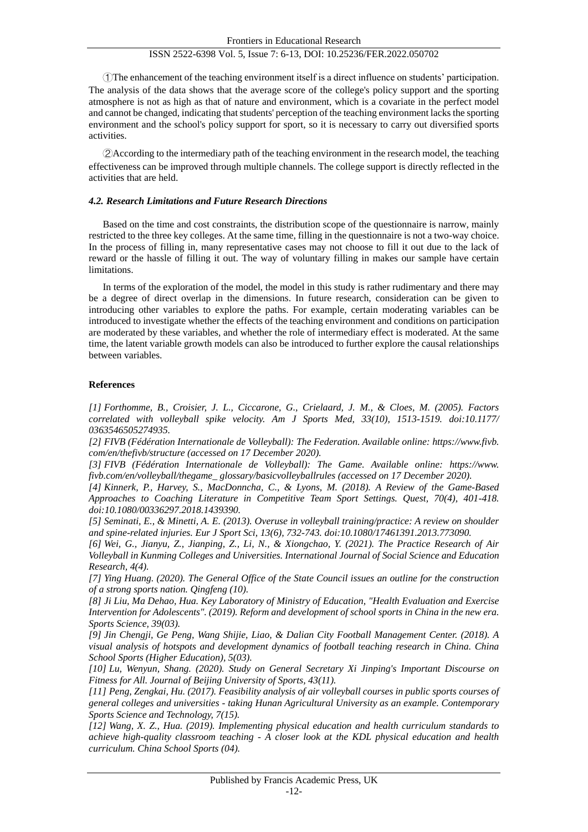①The enhancement of the teaching environment itself is a direct influence on students' participation. The analysis of the data shows that the average score of the college's policy support and the sporting atmosphere is not as high as that of nature and environment, which is a covariate in the perfect model and cannot be changed, indicating that students' perception of the teaching environment lacks the sporting environment and the school's policy support for sport, so it is necessary to carry out diversified sports activities.

②According to the intermediary path of the teaching environment in the research model, the teaching effectiveness can be improved through multiple channels. The college support is directly reflected in the activities that are held.

#### *4.2. Research Limitations and Future Research Directions*

Based on the time and cost constraints, the distribution scope of the questionnaire is narrow, mainly restricted to the three key colleges. At the same time, filling in the questionnaire is not a two-way choice. In the process of filling in, many representative cases may not choose to fill it out due to the lack of reward or the hassle of filling it out. The way of voluntary filling in makes our sample have certain limitations.

In terms of the exploration of the model, the model in this study is rather rudimentary and there may be a degree of direct overlap in the dimensions. In future research, consideration can be given to introducing other variables to explore the paths. For example, certain moderating variables can be introduced to investigate whether the effects of the teaching environment and conditions on participation are moderated by these variables, and whether the role of intermediary effect is moderated. At the same time, the latent variable growth models can also be introduced to further explore the causal relationships between variables.

#### **References**

*[1] Forthomme, B., Croisier, J. L., Ciccarone, G., Crielaard, J. M., & Cloes, M. (2005). Factors correlated with volleyball spike velocity. Am J Sports Med, 33(10), 1513-1519. doi:10.1177/ 0363546505274935.*

*[2] FIVB (Fédération Internationale de Volleyball): The Federation. Available online: https://www.fivb. com/en/thefivb/structure (accessed on 17 December 2020).*

*[3] FIVB (Fédération Internationale de Volleyball): The Game. Available online: https://www. fivb.com/en/volleyball/thegame\_ glossary/basicvolleyballrules (accessed on 17 December 2020).*

*[4] Kinnerk, P., Harvey, S., MacDonncha, C., & Lyons, M. (2018). A Review of the Game-Based Approaches to Coaching Literature in Competitive Team Sport Settings. Quest, 70(4), 401-418. doi:10.1080/00336297.2018.1439390.*

*[5] Seminati, E., & Minetti, A. E. (2013). Overuse in volleyball training/practice: A review on shoulder and spine-related injuries. Eur J Sport Sci, 13(6), 732-743. doi:10.1080/17461391.2013.773090.*

*[6] Wei, G., Jianyu, Z., Jianping, Z., Li, N., & Xiongchao, Y. (2021). The Practice Research of Air Volleyball in Kunming Colleges and Universities. International Journal of Social Science and Education Research, 4(4).*

*[7] Ying Huang. (2020). The General Office of the State Council issues an outline for the construction of a strong sports nation. Qingfeng (10).*

*[8] Ji Liu, Ma Dehao, Hua. Key Laboratory of Ministry of Education, "Health Evaluation and Exercise Intervention for Adolescents". (2019). Reform and development of school sports in China in the new era. Sports Science, 39(03).*

*[9] Jin Chengji, Ge Peng, Wang Shijie, Liao, & Dalian City Football Management Center. (2018). A visual analysis of hotspots and development dynamics of football teaching research in China. China School Sports (Higher Education), 5(03).*

*[10] Lu, Wenyun, Shang. (2020). Study on General Secretary Xi Jinping's Important Discourse on Fitness for All. Journal of Beijing University of Sports, 43(11).*

*[11] Peng, Zengkai, Hu. (2017). Feasibility analysis of air volleyball courses in public sports courses of general colleges and universities - taking Hunan Agricultural University as an example. Contemporary Sports Science and Technology, 7(15).*

*[12] Wang, X. Z., Hua. (2019). Implementing physical education and health curriculum standards to achieve high-quality classroom teaching - A closer look at the KDL physical education and health curriculum. China School Sports (04).*